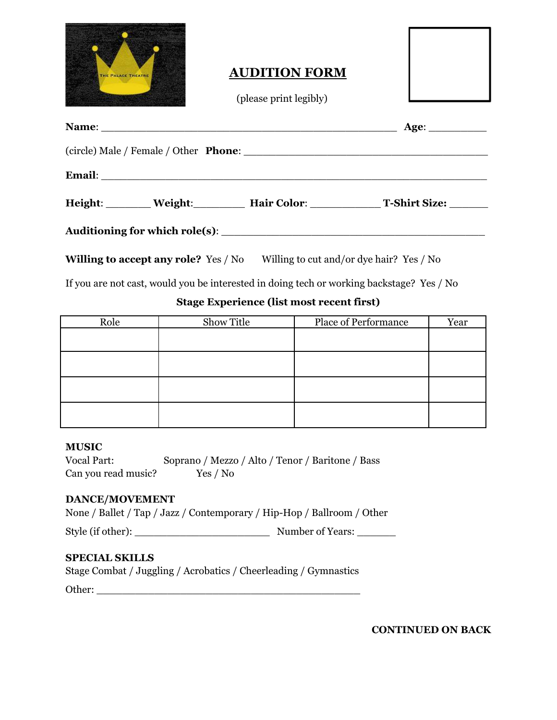

## **AUDITION FORM**

(please print legibly)

| Name: Name: Name: Name: Name: Name: Name: Name: Name: Name: Name: Name: Name: Name: Name: Name: Name: Name: Name: Name: Name: Name: Name: Name: Name: Name: Name: Name: Name: Name: Name: Name: Name: Name: Name: Name: Name: | Age: |                                           |
|-------------------------------------------------------------------------------------------------------------------------------------------------------------------------------------------------------------------------------|------|-------------------------------------------|
|                                                                                                                                                                                                                               |      |                                           |
|                                                                                                                                                                                                                               |      |                                           |
|                                                                                                                                                                                                                               |      | Height: Weight: Hair Color: T-Shirt Size: |
|                                                                                                                                                                                                                               |      |                                           |

**Willing to accept any role?** Yes / No Willing to cut and/or dye hair? Yes / No

If you are not cast, would you be interested in doing tech or working backstage? Yes / No

## **Stage Experience (list most recent first)**

| Role | Show Title | <b>Place of Performance</b> | Year |
|------|------------|-----------------------------|------|
|      |            |                             |      |
|      |            |                             |      |
|      |            |                             |      |
|      |            |                             |      |
|      |            |                             |      |
|      |            |                             |      |
|      |            |                             |      |
|      |            |                             |      |

#### **MUSIC**

| <b>Vocal Part:</b>  | Soprano / Mezzo / Alto / Tenor / Baritone / Bass |  |
|---------------------|--------------------------------------------------|--|
| Can you read music? | Yes / No                                         |  |

#### **DANCE/MOVEMENT**

|  |  |  |  | None / Ballet / Tap / Jazz / Contemporary / Hip-Hop / Ballroom / Other |  |  |  |
|--|--|--|--|------------------------------------------------------------------------|--|--|--|
|--|--|--|--|------------------------------------------------------------------------|--|--|--|

Style (if other): \_\_\_\_\_\_\_\_\_\_\_\_\_\_\_\_\_\_\_\_\_ Number of Years: \_\_\_\_\_\_

### **SPECIAL SKILLS**

|  | Stage Combat / Juggling / Acrobatics / Cheerleading / Gymnastics |  |  |
|--|------------------------------------------------------------------|--|--|
|--|------------------------------------------------------------------|--|--|

Other: \_\_\_\_\_\_\_\_\_\_\_\_\_\_\_\_\_\_\_\_\_\_\_\_\_\_\_\_\_\_\_\_\_\_\_\_\_\_\_\_\_

**CONTINUED ON BACK**